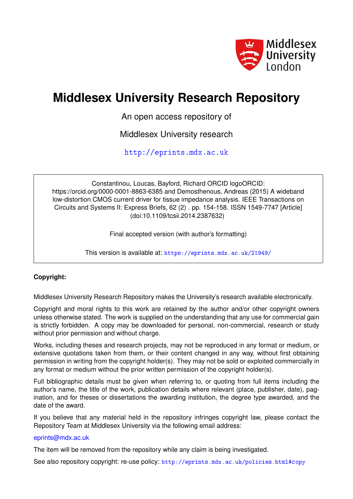

## **Middlesex University Research Repository**

An open access repository of

Middlesex University research

<http://eprints.mdx.ac.uk>

Constantinou, Loucas, Bayford, Richard ORCID logoORCID: https://orcid.org/0000-0001-8863-6385 and Demosthenous, Andreas (2015) A wideband low-distortion CMOS current driver for tissue impedance analysis. IEEE Transactions on Circuits and Systems II: Express Briefs, 62 (2) . pp. 154-158. ISSN 1549-7747 [Article] (doi:10.1109/tcsii.2014.2387632)

Final accepted version (with author's formatting)

This version is available at: <https://eprints.mdx.ac.uk/21949/>

## **Copyright:**

Middlesex University Research Repository makes the University's research available electronically.

Copyright and moral rights to this work are retained by the author and/or other copyright owners unless otherwise stated. The work is supplied on the understanding that any use for commercial gain is strictly forbidden. A copy may be downloaded for personal, non-commercial, research or study without prior permission and without charge.

Works, including theses and research projects, may not be reproduced in any format or medium, or extensive quotations taken from them, or their content changed in any way, without first obtaining permission in writing from the copyright holder(s). They may not be sold or exploited commercially in any format or medium without the prior written permission of the copyright holder(s).

Full bibliographic details must be given when referring to, or quoting from full items including the author's name, the title of the work, publication details where relevant (place, publisher, date), pagination, and for theses or dissertations the awarding institution, the degree type awarded, and the date of the award.

If you believe that any material held in the repository infringes copyright law, please contact the Repository Team at Middlesex University via the following email address:

### [eprints@mdx.ac.uk](mailto:eprints@mdx.ac.uk)

The item will be removed from the repository while any claim is being investigated.

See also repository copyright: re-use policy: <http://eprints.mdx.ac.uk/policies.html#copy>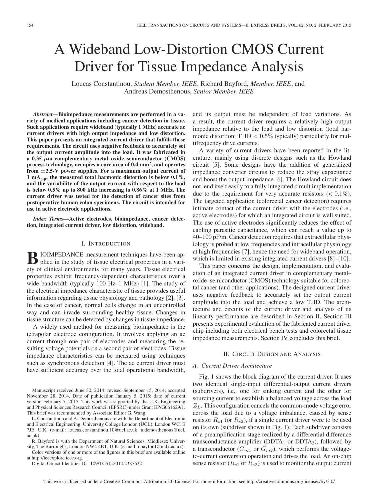# A Wideband Low-Distortion CMOS Current Driver for Tissue Impedance Analysis

Loucas Constantinou, *Student Member, IEEE*, Richard Bayford, *Member, IEEE*, and Andreas Demosthenous, *Senior Member, IEEE*

*Abstract***—Bioimpedance measurements are performed in a variety of medical applications including cancer detection in tissue. Such applications require wideband (typically 1 MHz) accurate ac current drivers with high output impedance and low distortion. This paper presents an integrated current driver that fulfills these requirements. The circuit uses negative feedback to accurately set the output current amplitude into the load. It was fabricated in a 0.35-***μ***m complementary metal–oxide–semiconductor (CMOS) process technology, occupies a core area of 0.4 mm2, and operates from** *±***2.5-V power supplies. For a maximum output current of 1 mAp-p, the measured total harmonic distortion is below 0.1%, and the variability of the output current with respect to the load is below 0.5% up to 800 kHz increasing to 0.86% at 1 MHz. The current driver was tested for the detection of cancer sites from postoperative human colon specimens. The circuit is intended for use in active electrode applications.**

*Index Terms***—Active electrodes, bioimpedance, cancer detection, integrated current driver, low distortion, wideband.**

#### I. INTRODUCTION

**B**IOIMPEDANCE measurement techniques have been applied in the study of tissue electrical properties in a variety of clinical environments for many years. Tissue electrical properties exhibit frequency-dependent characteristics over a wide bandwidth (typically 100 Hz–1 MHz) [1]. The study of the electrical impedance characteristic of tissue provides useful information regarding tissue physiology and pathology [2], [3]. In the case of cancer, normal cells change in an uncontrolled way and can invade surrounding healthy tissue. Changes in tissue structure can be detected by changes in tissue impedance.

A widely used method for measuring bioimpedance is the tetrapolar electrode configuration. It involves applying an ac current through one pair of electrodes and measuring the resulting voltage potentials on a second pair of electrodes. Tissue impedance characteristics can be measured using techniques such as synchronous detection [4]. The ac current driver must have sufficient accuracy over the total operational bandwidth,

Manuscript received June 30, 2014; revised September 15, 2014; accepted November 28, 2014. Date of publication January 5, 2015; date of current version February 7, 2015. This work was supported by the U.K. Engineering and Physical Sciences Research Council (EPSRC) under Grant EP/G061629/1. This brief was recommended by Associate Editor G. Wang.

L. Constantinou and A. Demosthenous are with the Department of Electronic and Electrical Engineering, University College London (UCL), London WC1E 7JE, U.K. (e-mail: loucas.constantinou.10@ucl.ac.uk; a.demosthenous@ucl. ac.uk).

R. Bayford is with the Department of Natural Sciences, Middlesex University, The Burroughs, London NW4 4BT, U.K. (e-mail: r.bayford@mdx.ac.uk).

Color versions of one or more of the figures in this brief are available online at http://ieeexplore.ieee.org.

Digital Object Identifier 10.1109/TCSII.2014.2387632

and its output must be independent of load variations. As a result, the current driver requires a relatively high output impedance relative to the load and low distortion (total harmonic distortion; THD  $< 0.5\%$  typically) particularly for multifrequency drive currents.

A variety of current drivers have been reported in the literature, mainly using discrete designs such as the Howland circuit [5]. Some designs have the addition of generalized impedance converter circuits to reduce the stray capacitance and boost the output impedance [6]. The Howland circuit does not lend itself easily to a fully integrated circuit implementation due to the requirement for very accurate resistors (< 0.1%). The targeted application (colorectal cancer detection) requires intimate contact of the current driver with the electrodes (i.e., active electrodes) for which an integrated circuit is well suited. The use of active electrodes significantly reduces the effect of cabling parasitic capacitance, which can reach a value up to 40–100 pF/m. Cancer detection requires that extracellular physiology is probed at low frequencies and intracellular physiology at high frequencies [7], hence the need for wideband operation, which is limited in existing integrated current drivers [8]–[10].

This paper concerns the design, implementation, and evaluation of an integrated current driver in complementary metal– oxide–semiconductor (CMOS) technology suitable for colorectal cancer (and other applications). The designed current driver uses negative feedback to accurately set the output current amplitude into the load and achieve a low THD. The architecture and circuits of the current driver and analysis of its linearity performance are described in Section II. Section III presents experimental evaluation of the fabricated current driver chip including both electrical bench tests and colorectal tissue impedance measurements. Section IV concludes this brief.

#### II. CIRCUIT DESIGN AND ANALYSIS

#### *A. Current Driver Architecture*

Fig. 1 shows the block diagram of the current driver. It uses two identical single-input differential-output current drivers (subdrivers), i.e., one for sinking current and the other for sourcing current to establish a balanced voltage across the load  $Z_L$ . This configuration cancels the common-mode voltage error across the load due to a voltage imbalance, caused by sense resistor  $R_{s1}$  (or  $R_{s2}$ ), if a single current driver were to be used on its own (subdriver shown in Fig. 1). Each subdriver consists of a preamplification stage realized by a differential difference transconductance amplifier ( $DDTA_1$  or  $DDTA_2$ ), followed by a transconductor  $(G_{m1}$  or  $G_{m2})$ , which performs the voltageto-current conversion operation and drives the load. An on-chip sense resistor ( $R_{s1}$  or  $R_{s2}$ ) is used to monitor the output current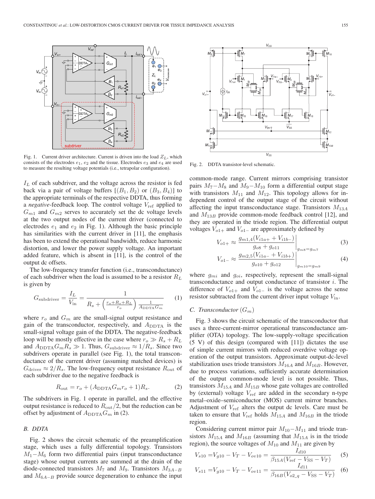

Fig. 1. Current driver architecture. Current is driven into the load  $Z_L$ , which consists of the electrodes  $e_1$ ,  $e_2$  and the tissue. Electrodes  $e_3$  and  $e_4$  are used to measure the resulting voltage potentials (i.e., tetrapolar configuration).

 $I_L$  of each subdriver, and the voltage across the resistor is fed back via a pair of voltage buffers  $[(B_1, B_2)$  or  $(B_3, B_4)]$  to the appropriate terminals of the respective DDTA, thus forming a *negative*-feedback loop. The control voltage  $V_{ref}$  applied to  $G_{m1}$  and  $G_{m2}$  serves to accurately set the dc voltage levels at the two output nodes of the current driver (connected to electrodes  $e_1$  and  $e_2$  in Fig. 1). Although the basic principle has similarities with the current driver in [11], the emphasis has been to extend the operational bandwidth, reduce harmonic distortion, and lower the power supply voltage. An important added feature, which is absent in [11], is the control of the output dc offsets.

The low-frequency transfer function (i.e., transconductance) of each subdriver when the load is assumed to be a resistor  $R_L$ is given by

$$
G_{\text{subdriver}} = \frac{I_L}{V_{\text{in}}} = \frac{1}{R_s + \left(\frac{r_o + R_s + R_L}{r_o}\right) \frac{1}{A_{\text{DDTA}} G_m}}
$$
(1)

where  $r_o$  and  $G_m$  are the small-signal output resistance and gain of the transconductor, respectively, and  $A_{\text{DDTA}}$  is the small-signal voltage gain of the DDTA. The negative-feedback loop will be mostly effective in the case where  $r_o \gg R_s + R_L$ and  $A_{\text{DDTA}}G_mR_s \gg 1$ . Thus,  $G_{\text{subdriver}} \approx 1/R_s$ . Since two subdrivers operate in parallel (see Fig. 1), the total transconductance of the current driver (assuming matched devices) is  $G_{\text{driver}} \approx 2/R_s$ . The low-frequency output resistance  $R_{\text{out}}$  of each subdriver due to the negative feedback is

$$
R_{\text{out}} = r_o + (A_{\text{DDTA}} G_m r_o + 1) R_s. \tag{2}
$$

The subdrivers in Fig. 1 operate in parallel, and the effective output resistance is reduced to  $R_{\text{out}}/2$ , but the reduction can be offset by adjustment of  $A_{\text{DDTA}}G_m$  in (2).

#### *B. DDTA*

Fig. 2 shows the circuit schematic of the preamplification stage, which uses a fully differential topology. Transistors  $M_1-M_6$  form two differential pairs (input transconductance stage) whose output currents are summed at the drain of the diode-connected transistors  $M_7$  and  $M_9$ . Transistors  $M_{3A-B}$ and  $M_{6A-B}$  provide source degeneration to enhance the input



Fig. 2. DDTA transistor-level schematic.

common-mode range. Current mirrors comprising transistor pairs  $M_7$ − $M_8$  and  $M_9$ − $M_{10}$  form a differential output stage with transistors  $M_{11}$  and  $M_{12}$ . This topology allows for independent control of the output stage of the circuit without affecting the input transconductance stage. Transistors  $M_{13A}$ and  $M_{13B}$  provide common-mode feedback control [12], and they are operated in the triode region. The differential output voltages  $V_{o1+}$  and  $V_{o1-}$  are approximately defined by

$$
V_{o1+} \approx \frac{g_{m1,4}(V_{i1a+} + V_{i1b-})}{g_{o8} + g_{o11}}\Big|_{g_{m8} = g_{m7}}
$$
 (3)

$$
V_{o1-} \approx \frac{g_{m2,5}(V_{i1a-} + V_{i1b+})}{g_{o10} + g_{o12}} \Big|_{g_{m10} = g_{m9}}
$$
(4)

where  $g_{mi}$  and  $g_{oi}$ , respectively, represent the small-signal transconductance and output conductance of transistor  $i$ . The difference of  $V_{o1+}$  and  $V_{o1-}$  is the voltage across the sense resistor subtracted from the current driver input voltage  $V_{\text{in}}$ .

#### *C. Transconductor*  $(G_m)$

Fig. 3 shows the circuit schematic of the transconductor that uses a three-current-mirror operational transconductance amplifier (OTA) topology. The low-supply-voltage specification (5 V) of this design (compared with [11]) dictates the use of simple current mirrors with reduced overdrive voltage operation of the output transistors. Approximate output-dc-level stabilization uses triode transistors  $M_{16A}$  and  $M_{16B}$ . However, due to process variations, sufficiently accurate determination of the output common-mode level is not possible. Thus, transistors  $M_{15A}$  and  $M_{15B}$  whose gate voltages are controlled by (external) voltage  $V_{ref}$  are added in the secondary n-type metal–oxide–semiconductor (MOS) current mirror branches. Adjustment of  $V_{ref}$  alters the output dc levels. Care must be taken to ensure that  $V_{ref}$  holds  $M_{15A}$  and  $M_{16B}$  in the triode region.

Considering current mirror pair  $M_{10}-M_{11}$  and triode transistors  $M_{15A}$  and  $M_{16B}$  (assuming that  $M_{15A}$  is in the triode region), the source voltages of  $M_{10}$  and  $M_{11}$  are given by

$$
V_{s10} = V_{g10} - V_T - V_{ov10} = \frac{I_{d10}}{\beta_{15A}(V_{\text{ref}} - V_{\text{SS}} - V_T)}
$$
(5)

$$
V_{s11} = V_{g10} - V_T - V_{ov11} = \frac{I_{d11}}{\beta_{16B}(V_{o2_q} - V_{SS} - V_T)}
$$
(6)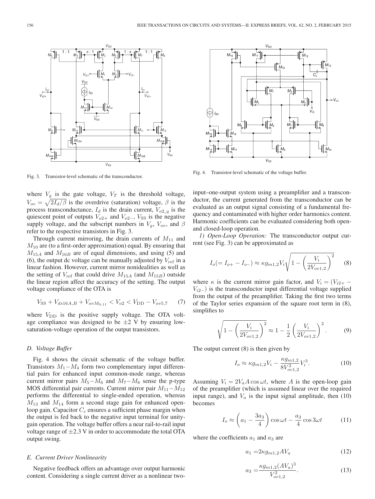

Fig. 3. Transistor-level schematic of the transconductor.

where  $V<sub>g</sub>$  is the gate voltage,  $V<sub>T</sub>$  is the threshold voltage,  $V_{ov} = \sqrt{2I_d/\beta}$  is the overdrive (saturation) voltage,  $\beta$  is the process transconductance,  $I_d$  is the drain current,  $V_{o2-q}$  is the quiescent point of outputs  $V_{o2+}$  and  $V_{o2-}$ ,  $V_{SS}$  is the negative supply voltage, and the subscript numbers in  $V_q$ ,  $V_{ov}$ , and  $\beta$ refer to the respective transistors in Fig. 3.

Through current mirroring, the drain currents of  $M_{11}$  and  $M_{10}$  are (to a first-order approximation) equal. By ensuring that  $M_{15A}$  and  $M_{16B}$  are of equal dimensions, and using (5) and (6), the output dc voltage can be manually adjusted by  $V_{ref}$  in a linear fashion. However, current mirror nonidealities as well as the setting of  $V_{ref}$  that could drive  $M_{15A}$  (and  $M_{15B}$ ) outside the linear region affect the accuracy of the setting. The output voltage compliance of the OTA is

$$
V_{\rm SS} + V_{ds16A,B} + V_{ovM_{9,11}} < V_{o2} < V_{\rm DD} - V_{ov5,7} \tag{7}
$$

where  $V_{\text{DD}}$  is the positive supply voltage. The OTA voltage compliance was designed to be  $\pm 2$  V by ensuring lowsaturation-voltage operation of the output transistors.

#### *D. Voltage Buffer*

Fig. 4 shows the circuit schematic of the voltage buffer. Transistors  $M_1 - M_4$  form two complementary input differential pairs for enhanced input common-mode range, whereas current mirror pairs  $M_5 - M_6$  and  $M_7 - M_8$  sense the p-type MOS differential pair currents. Current mirror pair  $M_{11}-M_{12}$ performs the differential to single-ended operation, whereas  $M_{13}$  and  $M_{14}$  form a second stage gain for enhanced openloop gain. Capacitor  $C_c$  ensures a sufficient phase margin when the output is fed back to the negative input terminal for unitygain operation. The voltage buffer offers a near rail-to-rail input voltage range of  $\pm 2.3$  V in order to accommodate the total OTA output swing.

#### *E. Current Driver Nonlinearity*

Negative feedback offers an advantage over output harmonic content. Considering a single current driver as a nonlinear two-



Fig. 4. Transistor-level schematic of the voltage buffer.

input–one-output system using a preamplifier and a transconductor, the current generated from the transconductor can be evaluated as an output signal consisting of a fundamental frequency and contaminated with higher order harmonics content. Harmonic coefficients can be evaluated considering both openand closed-loop operation.

*1) Open-Loop Operation:* The transconductor output current (see Fig. 3) can be approximated as

$$
I_o (= I_{o+} - I_{o-}) \approx \kappa g_{m1,2} V_i \sqrt{1 - \left(\frac{V_i}{2V_{ov1,2}}\right)^2} \tag{8}
$$

where  $\kappa$  is the current mirror gain factor, and  $V_i = (V_{i2+} V_{i2-}$ ) is the transconductor input differential voltage supplied from the output of the preamplifier. Taking the first two terms of the Taylor series expansion of the square root term in (8), simplifies to

$$
\sqrt{1 - \left(\frac{V_i}{2V_{ov1,2}}\right)^2} \approx 1 - \frac{1}{2} \left(\frac{V_i}{2V_{ov1,2}}\right)^2.
$$
 (9)

The output current (8) is then given by

$$
I_o \approx \kappa g_{m1,2} V_i - \frac{\kappa g_{m1,2}}{8V_{ov1,2}^2} V_i^3.
$$
 (10)

Assuming  $V_i = 2V_a A \cos \omega t$ , where A is the open-loop gain of the preamplifier (which is assumed linear over the required input range), and  $V_a$  is the input signal amplitude, then (10) becomes

$$
I_o \approx \left( a_1 - \frac{3a_3}{4} \right) \cos \omega t - \frac{a_3}{4} \cos 3\omega t \tag{11}
$$

where the coefficients  $a_1$  and  $a_3$  are

$$
a_1 = 2\kappa g_{m1,2} A V_a \tag{12}
$$

$$
a_3 = \frac{\kappa g_{m1,2} (A V_a)^3}{V_{ov1,2}^2}.
$$
 (13)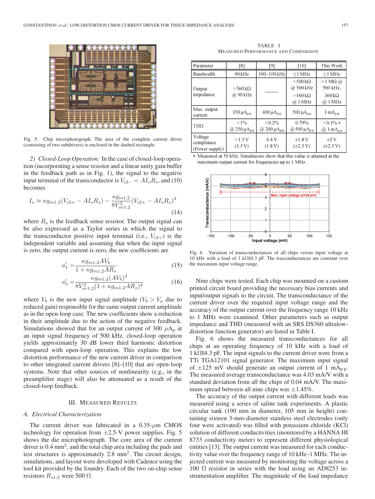

Fig. 5. Chip microphotograph. The area of the complete current driver (consisting of two subdrivers) is enclosed in the dashed rectangle.

*2) Closed-Loop Operation:* In the case of closed-loop operation (incorporating a sense resistor and a linear unity gain buffer in the feedback path as in Fig. 1), the signal to the negative input terminal of the transconductor is  $V_{i2-} = A I_0 R_s$ , and (10) becomes

$$
I_o \approx \kappa g_{m1,2}(V_{i2+} - A I_o R_s) - \frac{\kappa g_{m1,2}}{8V_{ov1,2}^2}(V_{i2+} - A I_o R_s)^3
$$
\n(14)

where  $R_s$  is the feedback sense resistor. The output signal can be also expressed as a Taylor series in which the signal to the transconductor positive input terminal (i.e.,  $V_{i2+}$ ) is the independent variable and assuming that when the input signal is zero, the output current is zero, the new coefficients are

$$
a_1' = \frac{\kappa g_{m1,2} A V_b}{1 + \kappa g_{m1,2} A R_s}
$$
(15)

$$
a_3' = \frac{\kappa g_{m1,2}(AV_b)^3}{8V_{ov1,2}^2(1 + \kappa g_{m1,2}AR_s)^4}
$$
(16)

where  $V_b$  is the new input signal amplitude  $(V_b > V_a$  due to reduced gain) responsible for the same output current amplitude as in the open-loop case. The new coefficients show a reduction in their amplitude due to the action of the negative feedback. Simulations showed that for an output current of 300  $\mu A_p$  at an input signal frequency of 500 kHz, closed-loop operation yields approximately 30 dB lower third harmonic distortion compared with open-loop operation. This explains the low distortion performance of the new current driver in comparison to other integrated current drivers [8]–[10] that are open-loop systems. Note that other sources of nonlinearity (e.g., in the preamplifier stage) will also be attenuated as a result of the closed-loop feedback.

#### III. MEASURED RESULTS

#### *A. Electrical Characterization*

The current driver was fabricated in a  $0.35-\mu m$  CMOS technology for operation from  $\pm 2.5$ -V power supplies. Fig. 5 shows the die microphotograph. The core area of the current driver is  $0.4 \text{ mm}^2$ , and the total chip area including the pads and test structures is approximately 2.8 mm2. The circuit design, simulations, and layout were developed with Cadence using the tool kit provided by the foundry. Each of the two on-chip sense resistors  $R_{s1,2}$  were 500  $\Omega$ .

TABLE I MEASURED PERFORMANCE AND COMPARISON

| Parameter                               | [8]                                    | [9]                                | [10]                                                                            | This Work                                                          |
|-----------------------------------------|----------------------------------------|------------------------------------|---------------------------------------------------------------------------------|--------------------------------------------------------------------|
| Bandwidth                               | $90$ kHz                               | 100-100 kHz                        | $\leq$ 1 MHz                                                                    | $\leq$ 1 MHz                                                       |
| Output<br>impedance                     | $>$ 560 k $\Omega$<br>@ 90 kHz         |                                    | $> 500 \,\mathrm{k}\Omega$<br>@ 500 kHz<br>$>160 \,\mathrm{k}\Omega$<br>@ 1 MHz | $>1$ M $\Omega$ (a)<br>500 kHz.<br>$360 \text{k}\Omega$<br>@ 1 MHz |
| Max. output<br>current                  | $350 \mu A_{p-p}$                      | $400 \mu A_{p-p}$                  | 500 $\mu A_{p-p}$                                                               | $1mA_{p-p}$                                                        |
| <b>THD</b>                              | $< 1\%$<br>$(a)$ 250 μA <sub>p-p</sub> | $< 0.2\%$<br>$(a)$ 200 μ $A_{p-p}$ | 0.79%<br>$(a)$ 500 μ $A_{p-p}$                                                  | $< 0.1\%$ *<br>$@1mAp-p$                                           |
| Voltage<br>compliance<br>(Power supply) | >1.5 V<br>(1.5 V)                      | 0.4V<br>(1.8 V)                    | $\pm 1.8$ V<br>$(\pm 2.5 V)$                                                    | $\pm 2$ V<br>$(\pm 2.5 \text{ V})$                                 |

\* Measured at 50 kHz. Simulations show that this value is attained at the maximum output current for frequencies up to 1 MHz.



Fig. 6. Variation of transconductances of all chips versus input voltage at 10 kHz with a load of 1 kΩ||4.3 pF. The trasconductances are constant over the maximum input voltage range.

Nine chips were tested. Each chip was mounted on a custom printed circuit board providing the necessary bias currents and input/output signals to the circuit. The transconductance of the current driver over the required input voltage range and the accuracy of the output current over the frequency range 10 kHz to 1 MHz were examined. Other parameters such as output impedance and THD (measured with an SRS DS360 ultralowdistortion function generator) are listed in Table I.

Fig. 6 shows the measured transconductances for all chips at an operating frequency of 10 kHz with a load of 1 k $\Omega$ ||4.3 pF. The input signals to the current driver were from a TTi TGA12101 signal generator. The maximum input signal of  $\pm 125$  mV should generate an output current of 1 mA<sub>p-p</sub>. The measured average transconductance was 4.03 mA/V with a standard deviation from all the chips of 0.04 mA/V. The maximum spread between all nine chips was  $\pm 1.45\%$ .

The accuracy of the output current with different loads was measured using a series of saline tank experiments. A plastic circular tank (190 mm in diameter, 105 mm in height) containing sixteen 3-mm-diameter stainless steel electrodes (only four were activated) was filled with potassium chloride (KCl) solution of different conductivities (monitored by a HANNA HI 8733 conductivity meter) to represent different physiological entities [13]. The output current was measured for each conductivity value over the frequency range of 10 kHz–1 MHz. The injected current was measured by monitoring the voltage across a 100 Ω resistor in series with the load using an AD8253 instrumentation amplifier. The magnitude of the load impedance